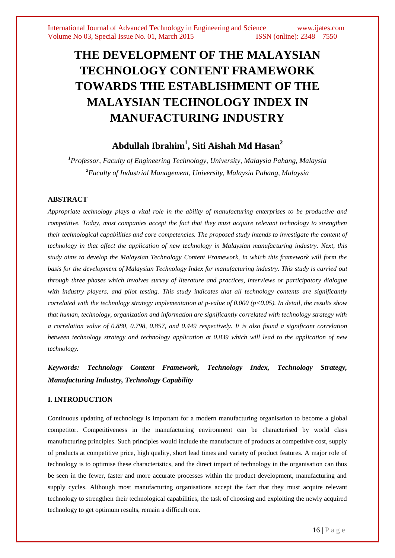# **THE DEVELOPMENT OF THE MALAYSIAN TECHNOLOGY CONTENT FRAMEWORK TOWARDS THE ESTABLISHMENT OF THE MALAYSIAN TECHNOLOGY INDEX IN MANUFACTURING INDUSTRY**

# **Abdullah Ibrahim<sup>1</sup> , Siti Aishah Md Hasan<sup>2</sup>**

*<sup>1</sup>Professor, Faculty of Engineering Technology, University, Malaysia Pahang, Malaysia <sup>2</sup>Faculty of Industrial Management, University, Malaysia Pahang, Malaysia*

# **ABSTRACT**

*Appropriate technology plays a vital role in the ability of manufacturing enterprises to be productive and competitive. Today, most companies accept the fact that they must acquire relevant technology to strengthen their technological capabilities and core competencies. The proposed study intends to investigate the content of technology in that affect the application of new technology in Malaysian manufacturing industry. Next, this study aims to develop the Malaysian Technology Content Framework, in which this framework will form the basis for the development of Malaysian Technology Index for manufacturing industry. This study is carried out through three phases which involves survey of literature and practices, interviews or participatory dialogue with industry players, and pilot testing. This study indicates that all technology contents are significantly correlated with the technology strategy implementation at p-value of 0.000 (p<0.05). In detail, the results show that human, technology, organization and information are significantly correlated with technology strategy with a correlation value of 0.880, 0.798, 0.857, and 0.449 respectively. It is also found a significant correlation between technology strategy and technology application at 0.839 which will lead to the application of new technology.* 

# *Keywords: Technology Content Framework, Technology Index, Technology Strategy, Manufacturing Industry, Technology Capability*

# **I. INTRODUCTION**

Continuous updating of technology is important for a modern manufacturing organisation to become a global competitor. Competitiveness in the manufacturing environment can be characterised by world class manufacturing principles. Such principles would include the manufacture of products at competitive cost, supply of products at competitive price, high quality, short lead times and variety of product features. A major role of technology is to optimise these characteristics, and the direct impact of technology in the organisation can thus be seen in the fewer, faster and more accurate processes within the product development, manufacturing and supply cycles. Although most manufacturing organisations accept the fact that they must acquire relevant technology to strengthen their technological capabilities, the task of choosing and exploiting the newly acquired technology to get optimum results, remain a difficult one.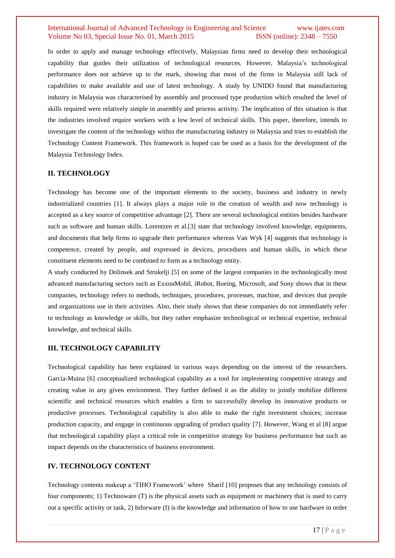In order to apply and manage technology effectively, Malaysian firms need to develop their technological capability that guides their utilization of technological resources. However, Malaysia"s technological performance does not achieve up to the mark, showing that most of the firms in Malaysia still lack of capabilities to make available and use of latest technology. A study by UNIDO found that manufacturing industry in Malaysia was characterised by assembly and processed type production which resulted the level of skills required were relatively simple in assembly and process activity. The implication of this situation is that the industries involved require workers with a low level of technical skills. This paper, therefore, intends to investigate the content of the technology within the manufacturing industry in Malaysia and tries to establish the Technology Content Framework. This framework is hoped can be used as a basis for the development of the Malaysia Technology Index.

## **II. TECHNOLOGY**

Technology has become one of the important elements to the society, business and industry in newly industrialized countries [1]. It always plays a major role in the creation of wealth and now technology is accepted as a key source of competitive advantage [2]. There are several technological entities besides hardware such as software and human skills. Lorentzen et al.[3] state that technology involved knowledge, equipments, and documents that help firms to upgrade their performance whereas Van Wyk [4] suggests that technology is competence, created by people, and expressed in devices, procedures and human skills, in which these constituent elements need to be combined to form as a technology entity.

A study conducted by Dolinsek and Strukelji [5] on some of the largest companies in the technologically most advanced manufacturing sectors such as ExxonMobil, iRobot, Boeing, Microsoft, and Sony shows that in these companies, technology refers to methods, techniques, procedures, processes, machine, and devices that people and organizations use in their activities. Also, their study shows that these companies do not immediately refer to technology as knowledge or skills, but they rather emphasize technological or technical expertise, technical knowledge, and technical skills.

#### **III. TECHNOLOGY CAPABILITY**

Technological capability has been explained in various ways depending on the interest of the researchers. Garcia-Muina [6] conceptualized technological capability as a tool for implementing competitive strategy and creating value in any given environment. They further defined it as the ability to jointly mobilize different scientific and technical resources which enables a firm to successfully develop its innovative products or productive processes. Technological capability is also able to make the right investment choices; increase production capacity, and engage in continuous upgrading of product quality [7]. However, Wang et al [8] argue that technological capability plays a critical role in competitive strategy for business performance but such an impact depends on the characteristics of business environment.

#### **IV. TECHNOLOGY CONTENT**

Technology contents makeup a "TIHO Framework" where Sharif [10] proposes that any technology consists of four components; 1) Technoware (T) is the physical assets such as equipment or machinery that is used to carry out a specific activity or task, 2) Inforware (I) is the knowledge and information of how to use hardware in order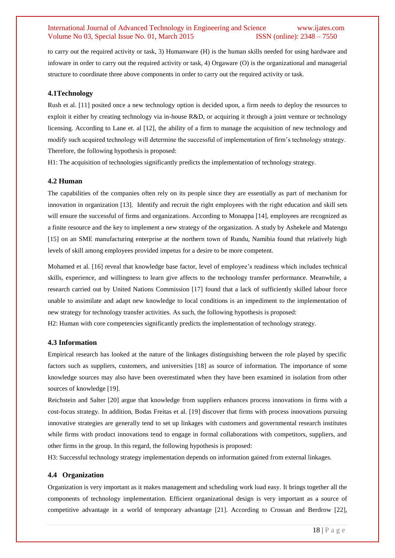to carry out the required activity or task, 3) Humanware (H) is the human skills needed for using hardware and infoware in order to carry out the required activity or task, 4) Orgaware (O) is the organizational and managerial structure to coordinate three above components in order to carry out the required activity or task.

#### **4.1Technology**

Rush et al. [11] posited once a new technology option is decided upon, a firm needs to deploy the resources to exploit it either by creating technology via in-house R&D, or acquiring it through a joint venture or technology licensing. According to Lane et. al [12], the ability of a firm to manage the acquisition of new technology and modify such acquired technology will determine the successful of implementation of firm"s technology strategy. Therefore, the following hypothesis is proposed:

H1: The acquisition of technologies significantly predicts the implementation of technology strategy.

#### **4.2 Human**

The capabilities of the companies often rely on its people since they are essentially as part of mechanism for innovation in organization [13]. Identify and recruit the right employees with the right education and skill sets will ensure the successful of firms and organizations. According to Monappa [14], employees are recognized as a finite resource and the key to implement a new strategy of the organization. A study by Ashekele and Matengu [15] on an SME manufacturing enterprise at the northern town of Rundu, Namibia found that relatively high levels of skill among employees provided impetus for a desire to be more competent.

Mohamed et al. [16] reveal that knowledge base factor, level of employee's readiness which includes technical skills, experience, and willingness to learn give affects to the technology transfer performance. Meanwhile, a research carried out by United Nations Commission [17] found that a lack of sufficiently skilled labour force unable to assimilate and adapt new knowledge to local conditions is an impediment to the implementation of new strategy for technology transfer activities. As such, the following hypothesis is proposed:

H2: Human with core competencies significantly predicts the implementation of technology strategy.

#### **4.3 Information**

Empirical research has looked at the nature of the linkages distinguishing between the role played by specific factors such as suppliers, customers, and universities [18] as source of information. The importance of some knowledge sources may also have been overestimated when they have been examined in isolation from other sources of knowledge [19].

Reichstein and Salter [20] argue that knowledge from suppliers enhances process innovations in firms with a cost-focus strategy. In addition, Bodas Freitas et al. [19] discover that firms with process innovations pursuing innovative strategies are generally tend to set up linkages with customers and governmental research institutes while firms with product innovations tend to engage in formal collaborations with competitors, suppliers, and other firms in the group. In this regard, the following hypothesis is proposed:

H3: Successful technology strategy implementation depends on information gained from external linkages.

#### **4.4 Organization**

Organization is very important as it makes management and scheduling work load easy. It brings together all the components of technology implementation. Efficient organizational design is very important as a source of competitive advantage in a world of temporary advantage [21]. According to Crossan and Berdrow [22],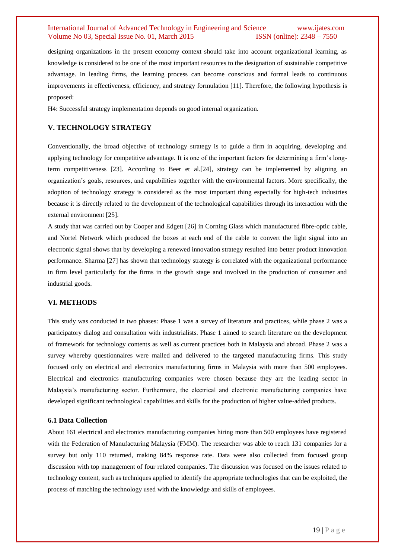designing organizations in the present economy context should take into account organizational learning, as knowledge is considered to be one of the most important resources to the designation of sustainable competitive advantage. In leading firms, the learning process can become conscious and formal leads to continuous improvements in effectiveness, efficiency, and strategy formulation [11]. Therefore, the following hypothesis is proposed:

H4: Successful strategy implementation depends on good internal organization.

## **V. TECHNOLOGY STRATEGY**

Conventionally, the broad objective of technology strategy is to guide a firm in acquiring, developing and applying technology for competitive advantage. It is one of the important factors for determining a firm"s longterm competitiveness [23]. According to Beer et al.[24], strategy can be implemented by aligning an organization"s goals, resources, and capabilities together with the environmental factors. More specifically, the adoption of technology strategy is considered as the most important thing especially for high-tech industries because it is directly related to the development of the technological capabilities through its interaction with the external environment [25].

A study that was carried out by Cooper and Edgett [26] in Corning Glass which manufactured fibre-optic cable, and Nortel Network which produced the boxes at each end of the cable to convert the light signal into an electronic signal shows that by developing a renewed innovation strategy resulted into better product innovation performance. Sharma [27] has shown that technology strategy is correlated with the organizational performance in firm level particularly for the firms in the growth stage and involved in the production of consumer and industrial goods.

#### **VI. METHODS**

This study was conducted in two phases: Phase 1 was a survey of literature and practices, while phase 2 was a participatory dialog and consultation with industrialists. Phase 1 aimed to search literature on the development of framework for technology contents as well as current practices both in Malaysia and abroad. Phase 2 was a survey whereby questionnaires were mailed and delivered to the targeted manufacturing firms. This study focused only on electrical and electronics manufacturing firms in Malaysia with more than 500 employees. Electrical and electronics manufacturing companies were chosen because they are the leading sector in Malaysia"s manufacturing sector. Furthermore, the electrical and electronic manufacturing companies have developed significant technological capabilities and skills for the production of higher value-added products.

#### **6.1 Data Collection**

About 161 electrical and electronics manufacturing companies hiring more than 500 employees have registered with the Federation of Manufacturing Malaysia (FMM). The researcher was able to reach 131 companies for a survey but only 110 returned, making 84% response rate. Data were also collected from focused group discussion with top management of four related companies. The discussion was focused on the issues related to technology content, such as techniques applied to identify the appropriate technologies that can be exploited, the process of matching the technology used with the knowledge and skills of employees.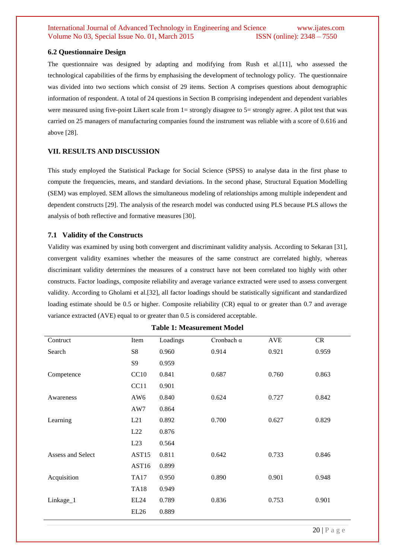#### **6.2 Questionnaire Design**

The questionnaire was designed by adapting and modifying from Rush et al.[11], who assessed the technological capabilities of the firms by emphasising the development of technology policy. The questionnaire was divided into two sections which consist of 29 items. Section A comprises questions about demographic information of respondent. A total of 24 questions in Section B comprising independent and dependent variables were measured using five-point Likert scale from 1= strongly disagree to 5= strongly agree. A pilot test that was carried on 25 managers of manufacturing companies found the instrument was reliable with a score of 0.616 and above [28].

# **VII. RESULTS AND DISCUSSION**

This study employed the Statistical Package for Social Science (SPSS) to analyse data in the first phase to compute the frequencies, means, and standard deviations. In the second phase, Structural Equation Modelling (SEM) was employed. SEM allows the simultaneous modeling of relationships among multiple independent and dependent constructs [29]. The analysis of the research model was conducted using PLS because PLS allows the analysis of both reflective and formative measures [30].

# **7.1 Validity of the Constructs**

Validity was examined by using both convergent and discriminant validity analysis. According to Sekaran [31], convergent validity examines whether the measures of the same construct are correlated highly, whereas discriminant validity determines the measures of a construct have not been correlated too highly with other constructs. Factor loadings, composite reliability and average variance extracted were used to assess convergent validity. According to Gholami et al.[32], all factor loadings should be statistically significant and standardized loading estimate should be 0.5 or higher. Composite reliability (CR) equal to or greater than 0.7 and average variance extracted (AVE) equal to or greater than 0.5 is considered acceptable.

| Contruct          | Item             | Loadings | Cronbach $\alpha$ | <b>AVE</b> | <b>CR</b> |
|-------------------|------------------|----------|-------------------|------------|-----------|
| Search            | S8               | 0.960    | 0.914             | 0.921      | 0.959     |
|                   | <b>S9</b>        | 0.959    |                   |            |           |
| Competence        | CC10             | 0.841    | 0.687             | 0.760      | 0.863     |
|                   | CC11             | 0.901    |                   |            |           |
| Awareness         | AW <sub>6</sub>  | 0.840    | 0.624             | 0.727      | 0.842     |
|                   | AW7              | 0.864    |                   |            |           |
| Learning          | L21              | 0.892    | 0.700             | 0.627      | 0.829     |
|                   | L22              | 0.876    |                   |            |           |
|                   | L23              | 0.564    |                   |            |           |
| Assess and Select | AST15            | 0.811    | 0.642             | 0.733      | 0.846     |
|                   | AST16            | 0.899    |                   |            |           |
| Acquisition       | <b>TA17</b>      | 0.950    | 0.890             | 0.901      | 0.948     |
|                   | <b>TA18</b>      | 0.949    |                   |            |           |
| Linkage_1         | EL <sub>24</sub> | 0.789    | 0.836             | 0.753      | 0.901     |
|                   | <b>EL26</b>      | 0.889    |                   |            |           |

**Table 1: Measurement Model**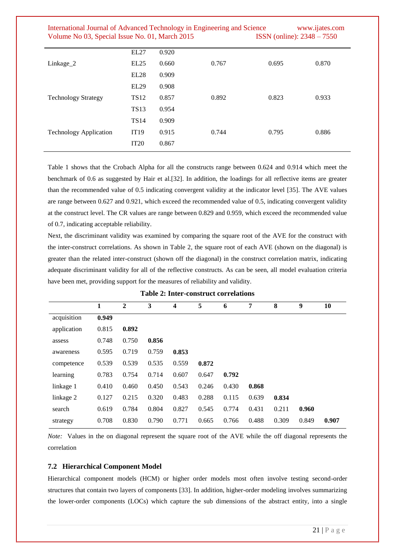| International Journal of Advanced Technology in Engineering and Science | www.ijates.com                      |
|-------------------------------------------------------------------------|-------------------------------------|
| Volume No 03, Special Issue No. 01, March 2015                          | <b>ISSN</b> (online): $2348 - 7550$ |

Table 1 shows that the Crobach Alpha for all the constructs range between 0.624 and 0.914 which meet the benchmark of 0.6 as suggested by Hair et al.[32]. In addition, the loadings for all reflective items are greater than the recommended value of 0.5 indicating convergent validity at the indicator level [35]. The AVE values are range between 0.627 and 0.921, which exceed the recommended value of 0.5, indicating convergent validity at the construct level. The CR values are range between 0.829 and 0.959, which exceed the recommended value of 0.7, indicating acceptable reliability.

Next, the discriminant validity was examined by comparing the square root of the AVE for the construct with the inter-construct correlations. As shown in Table 2, the square root of each AVE (shown on the diagonal) is greater than the related inter-construct (shown off the diagonal) in the construct correlation matrix, indicating adequate discriminant validity for all of the reflective constructs. As can be seen, all model evaluation criteria have been met, providing support for the measures of reliability and validity.

|             | 1     | $\mathbf{2}$ | 3     | $\boldsymbol{4}$ | 5     | 6     | 7     | 8     | 9     | 10    |
|-------------|-------|--------------|-------|------------------|-------|-------|-------|-------|-------|-------|
| acquisition | 0.949 |              |       |                  |       |       |       |       |       |       |
| application | 0.815 | 0.892        |       |                  |       |       |       |       |       |       |
| assess      | 0.748 | 0.750        | 0.856 |                  |       |       |       |       |       |       |
| awareness   | 0.595 | 0.719        | 0.759 | 0.853            |       |       |       |       |       |       |
| competence  | 0.539 | 0.539        | 0.535 | 0.559            | 0.872 |       |       |       |       |       |
| learning    | 0.783 | 0.754        | 0.714 | 0.607            | 0.647 | 0.792 |       |       |       |       |
| linkage 1   | 0.410 | 0.460        | 0.450 | 0.543            | 0.246 | 0.430 | 0.868 |       |       |       |
| linkage 2   | 0.127 | 0.215        | 0.320 | 0.483            | 0.288 | 0.115 | 0.639 | 0.834 |       |       |
| search      | 0.619 | 0.784        | 0.804 | 0.827            | 0.545 | 0.774 | 0.431 | 0.211 | 0.960 |       |
| strategy    | 0.708 | 0.830        | 0.790 | 0.771            | 0.665 | 0.766 | 0.488 | 0.309 | 0.849 | 0.907 |

**Table 2: Inter-construct correlations**

*Note:* Values in the on diagonal represent the square root of the AVE while the off diagonal represents the correlation

#### **7.2 Hierarchical Component Model**

Hierarchical component models (HCM) or higher order models most often involve testing second-order structures that contain two layers of components [33]. In addition, higher-order modeling involves summarizing the lower-order components (LOCs) which capture the sub dimensions of the abstract entity, into a single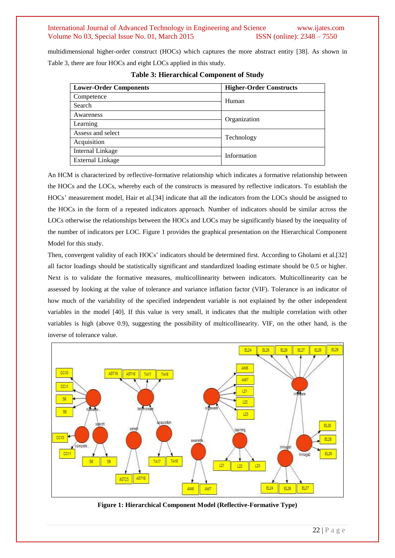multidimensional higher-order construct (HOCs) which captures the more abstract entity [38]. As shown in Table 3, there are four HOCs and eight LOCs applied in this study.

| <b>Lower-Order Components</b> | <b>Higher-Order Constructs</b> |  |
|-------------------------------|--------------------------------|--|
| Competence                    | Human                          |  |
| Search                        |                                |  |
| Awareness                     | Organization                   |  |
| Learning                      |                                |  |
| Assess and select             | Technology                     |  |
| Acquisition                   |                                |  |
| Internal Linkage              | Information                    |  |
| External Linkage              |                                |  |

|  | <b>Table 3: Hierarchical Component of Study</b> |  |  |  |
|--|-------------------------------------------------|--|--|--|
|--|-------------------------------------------------|--|--|--|

An HCM is characterized by reflective-formative relationship which indicates a formative relationship between the HOCs and the LOCs, whereby each of the constructs is measured by reflective indicators. To establish the HOCs" measurement model, Hair et al.[34] indicate that all the indicators from the LOCs should be assigned to the HOCs in the form of a repeated indicators approach. Number of indicators should be similar across the LOCs otherwise the relationships between the HOCs and LOCs may be significantly biased by the inequality of the number of indicators per LOC. Figure 1 provides the graphical presentation on the Hierarchical Component Model for this study.

Then, convergent validity of each HOCs" indicators should be determined first. According to Gholami et al.[32] all factor loadings should be statistically significant and standardized loading estimate should be 0.5 or higher. Next is to validate the formative measures, multicollinearity between indicators. Multicollinearity can be assessed by looking at the value of tolerance and variance inflation factor (VIF). Tolerance is an indicator of how much of the variability of the specified independent variable is not explained by the other independent variables in the model [40]. If this value is very small, it indicates that the multiple correlation with other variables is high (above 0.9), suggesting the possibility of multicollinearity. VIF, on the other hand, is the inverse of tolerance value.



**Figure 1: Hierarchical Component Model (Reflective-Formative Type)**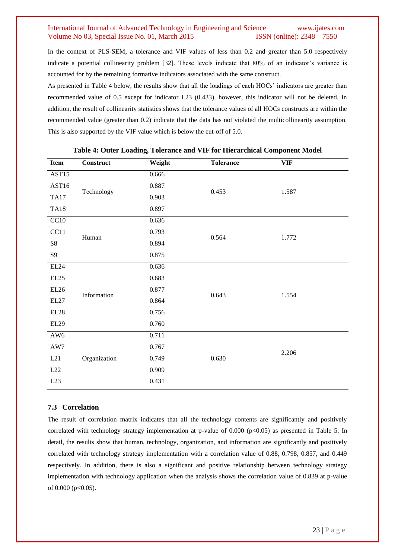In the context of PLS-SEM, a tolerance and VIF values of less than 0.2 and greater than 5.0 respectively indicate a potential collinearity problem [32]. These levels indicate that 80% of an indicator's variance is accounted for by the remaining formative indicators associated with the same construct.

As presented in Table 4 below, the results show that all the loadings of each HOCs' indicators are greater than recommended value of 0.5 except for indicator L23 (0.433), however, this indicator will not be deleted. In addition, the result of collinearity statistics shows that the tolerance values of all HOCs constructs are within the recommended value (greater than 0.2) indicate that the data has not violated the multicollinearity assumption. This is also supported by the VIF value which is below the cut-off of 5.0.

| Item                                               | <b>Construct</b> | Weight | <b>Tolerance</b> | <b>VIF</b> |  |
|----------------------------------------------------|------------------|--------|------------------|------------|--|
| AST15                                              |                  | 0.666  |                  |            |  |
| AST16                                              | Technology       | 0.887  | 0.453            | 1.587      |  |
| <b>TA17</b>                                        |                  | 0.903  |                  |            |  |
| <b>TA18</b>                                        |                  | 0.897  |                  |            |  |
| CC10                                               |                  | 0.636  |                  |            |  |
| CC11                                               | Human            | 0.793  | 0.564            | 1.772      |  |
| ${\rm S}8$                                         |                  | 0.894  |                  |            |  |
| $\boldsymbol{\mathcal{S}}\boldsymbol{\mathcal{G}}$ |                  | 0.875  |                  |            |  |
| $\rm EL24$                                         | Information      | 0.636  |                  | 1.554      |  |
| EL25                                               |                  | 0.683  | 0.643            |            |  |
| EL26                                               |                  | 0.877  |                  |            |  |
| EL27                                               |                  | 0.864  |                  |            |  |
| $\rm EL28$                                         |                  | 0.756  |                  |            |  |
| EL29                                               |                  | 0.760  |                  |            |  |
| AW <sub>6</sub>                                    |                  | 0.711  |                  |            |  |
| AW7                                                | Organization     | 0.767  |                  |            |  |
| L21                                                |                  | 0.749  | 0.630            | 2.206      |  |
| L22                                                |                  | 0.909  |                  |            |  |
| L23                                                |                  | 0.431  |                  |            |  |

#### **Table 4: Outer Loading, Tolerance and VIF for Hierarchical Component Model**

# **7.3 Correlation**

The result of correlation matrix indicates that all the technology contents are significantly and positively correlated with technology strategy implementation at p-value of  $0.000$  (p $<0.05$ ) as presented in Table 5. In detail, the results show that human, technology, organization, and information are significantly and positively correlated with technology strategy implementation with a correlation value of 0.88, 0.798, 0.857, and 0.449 respectively. In addition, there is also a significant and positive relationship between technology strategy implementation with technology application when the analysis shows the correlation value of 0.839 at p-value of  $0.000$  (p< $0.05$ ).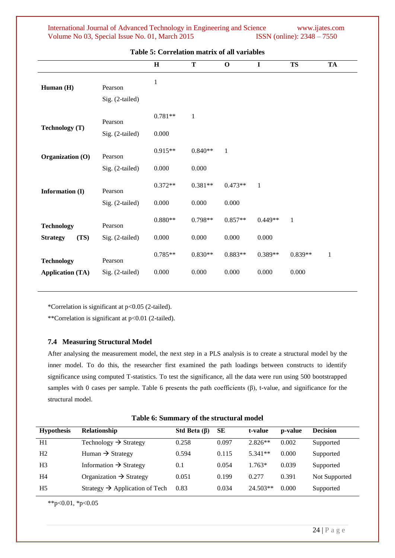| International Journal of Advanced Technology in Engineering and Science | www.ijates.com                      |
|-------------------------------------------------------------------------|-------------------------------------|
| Volume No 03, Special Issue No. 01, March 2015                          | <b>ISSN</b> (online): $2348 - 7550$ |

|                                              |                            | H                  | T                  | $\mathbf 0$        | $\mathbf I$        | <b>TS</b>          | <b>TA</b>    |
|----------------------------------------------|----------------------------|--------------------|--------------------|--------------------|--------------------|--------------------|--------------|
| Human (H)                                    | Pearson<br>Sig. (2-tailed) | $\,1$              |                    |                    |                    |                    |              |
| Technology (T)                               | Pearson<br>Sig. (2-tailed) | $0.781**$<br>0.000 | $\mathbf{1}$       |                    |                    |                    |              |
| Organization (O)                             | Pearson<br>Sig. (2-tailed) | $0.915**$<br>0.000 | $0.840**$<br>0.000 | $\mathbf{1}$       |                    |                    |              |
| Information (I)                              | Pearson<br>Sig. (2-tailed) | $0.372**$<br>0.000 | $0.381**$<br>0.000 | $0.473**$<br>0.000 | $\mathbf{1}$       |                    |              |
| <b>Technology</b><br>(TS)<br><b>Strategy</b> | Pearson<br>Sig. (2-tailed) | $0.880**$<br>0.000 | $0.798**$<br>0.000 | $0.857**$<br>0.000 | $0.449**$<br>0.000 | $\mathbf{1}$       |              |
| <b>Technology</b><br><b>Application (TA)</b> | Pearson<br>Sig. (2-tailed) | $0.785**$<br>0.000 | $0.830**$<br>0.000 | $0.883**$<br>0.000 | $0.389**$<br>0.000 | $0.839**$<br>0.000 | $\mathbf{1}$ |

**Table 5: Correlation matrix of all variables**

\*Correlation is significant at p<0.05 (2-tailed).

\*\*Correlation is significant at p<0.01 (2-tailed).

## **7.4 Measuring Structural Model**

After analysing the measurement model, the next step in a PLS analysis is to create a structural model by the inner model. To do this, the researcher first examined the path loadings between constructs to identify significance using computed T-statistics. To test the significance, all the data were run using 500 bootstrapped samples with 0 cases per sample. Table 6 presents the path coefficients  $(\beta)$ , t-value, and significance for the structural model.

| Table 6: Summary of the structural model |  |
|------------------------------------------|--|
|------------------------------------------|--|

| <b>Hypothesis</b> | Relationship                               | Std Beta $(\beta)$ | <b>SE</b> | t-value    | p-value | <b>Decision</b> |
|-------------------|--------------------------------------------|--------------------|-----------|------------|---------|-----------------|
| H1                | Technology $\rightarrow$ Strategy          | 0.258              | 0.097     | $2.826**$  | 0.002   | Supported       |
| H <sub>2</sub>    | Human $\rightarrow$ Strategy               | 0.594              | 0.115     | $5.341**$  | 0.000   | Supported       |
| H <sub>3</sub>    | Information $\rightarrow$ Strategy         | 0.1                | 0.054     | $1.763*$   | 0.039   | Supported       |
| H4                | Organization $\rightarrow$ Strategy        | 0.051              | 0.199     | 0.277      | 0.391   | Not Supported   |
| H <sub>5</sub>    | Strategy $\rightarrow$ Application of Tech | 0.83               | 0.034     | $24.503**$ | 0.000   | Supported       |

\*\*p<0.01, \*p<0.05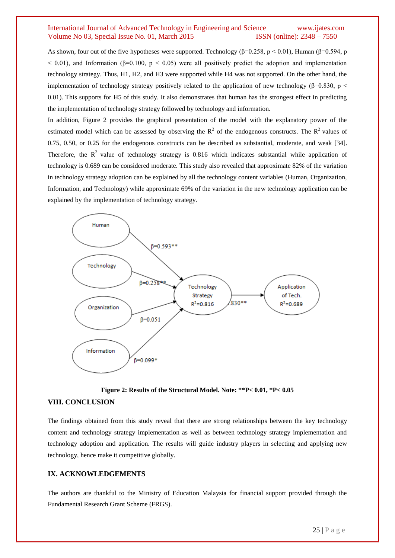As shown, four out of the five hypotheses were supported. Technology ( $\beta$ =0.258, p < 0.01), Human ( $\beta$ =0.594, p  $<$  0.01), and Information ( $\beta$ =0.100,  $p$  < 0.05) were all positively predict the adoption and implementation technology strategy. Thus, H1, H2, and H3 were supported while H4 was not supported. On the other hand, the implementation of technology strategy positively related to the application of new technology ( $\beta$ =0.830, p < 0.01). This supports for H5 of this study. It also demonstrates that human has the strongest effect in predicting the implementation of technology strategy followed by technology and information.

In addition, Figure 2 provides the graphical presentation of the model with the explanatory power of the estimated model which can be assessed by observing the  $R^2$  of the endogenous constructs. The  $R^2$  values of 0.75, 0.50, or 0.25 for the endogenous constructs can be described as substantial, moderate, and weak [34]. Therefore, the  $R^2$  value of technology strategy is 0.816 which indicates substantial while application of technology is 0.689 can be considered moderate. This study also revealed that approximate 82% of the variation in technology strategy adoption can be explained by all the technology content variables (Human, Organization, Information, and Technology) while approximate 69% of the variation in the new technology application can be explained by the implementation of technology strategy.



**Figure 2: Results of the Structural Model. Note: \*\*P< 0.01, \*P< 0.05**

#### **VIII. CONCLUSION**

The findings obtained from this study reveal that there are strong relationships between the key technology content and technology strategy implementation as well as between technology strategy implementation and technology adoption and application. The results will guide industry players in selecting and applying new technology, hence make it competitive globally.

#### **IX. ACKNOWLEDGEMENTS**

The authors are thankful to the Ministry of Education Malaysia for financial support provided through the Fundamental Research Grant Scheme (FRGS).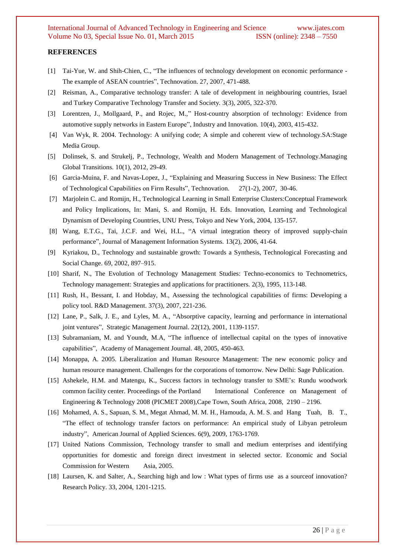#### **REFERENCES**

- [1] Tai-Yue, W. and Shih-Chien, C., "The influences of technology development on economic performance The example of ASEAN countries", Technovation. 27, 2007, 471-488.
- [2] Reisman, A., Comparative technology transfer: A tale of development in neighbouring countries, Israel and Turkey Comparative Technology Transfer and Society*.* 3(3), 2005, 322-370.
- [3] Lorentzen, J., Mollgaard, P., and Rojec, M.," Host-country absorption of technology: Evidence from automotive supply networks in Eastern Europe", Industry and Innovation*.* 10(4), 2003, 415-432.
- [4] Van Wyk, R. 2004. Technology: A unifying code; A simple and coherent view of technology.SA:Stage Media Group.
- [5] Dolinsek, S. and Strukelj, P., Technology, Wealth and Modern Management of Technology.Managing Global Transitions. 10(1), 2012, 29-49.
- [6] Garcia-Muina, F. and Navas-Lopez, J., "Explaining and Measuring Success in New Business: The Effect of Technological Capabilities on Firm Results", Technovation. 27(1-2), 2007, 30-46.
- [7] Marjolein C. and Romijn, H., Technological Learning in Small Enterprise Clusters:Conceptual Framework and Policy Implications, In: Mani, S. and Romijn, H. Eds. Innovation, Learning and Technological Dynamism of Developing Countries, UNU Press, Tokyo and New York, 2004, 135-157*.*
- [8] Wang, E.T.G., Tai, J.C.F. and Wei, H.L., "A virtual integration theory of improved supply-chain performance", Journal of Management Information Systems*.* 13(2), 2006, 41-64.
- [9] Kyriakou, D., Technology and sustainable growth: Towards a Synthesis, Technological Forecasting and Social Change. 69, 2002, 897–915.
- [10] Sharif, N., The Evolution of Technology Management Studies: Techno-economics to Technometrics, Technology management: Strategies and applications for practitioners. 2(3), 1995, 113-148.
- [11] Rush, H., Bessant, I. and Hobday, M., Assessing the technological capabilities of firms: Developing a policy tool. R&D Management. 37(3), 2007, 221-236.
- [12] Lane, P., Salk, J. E., and Lyles, M. A., "Absorptive capacity, learning and performance in international joint ventures", Strategic Management Journal. 22(12), 2001, 1139-1157.
- [13] Subramaniam, M. and Youndt, M.A, "The influence of intellectual capital on the types of innovative capabilities", Academy of Management Journal. 48, 2005, 450-463.
- [14] Monappa, A. 2005. Liberalization and Human Resource Management: The new economic policy and human resource management. Challenges for the corporations of tomorrow. New Delhi: Sage Publication.
- [15] Ashekele, H.M. and Matengu, K., Success factors in technology transfer to SME's: Rundu woodwork common facility center. Proceedings of the Portland International Conference on Management of Engineering & Technology 2008 (PICMET 2008),Cape Town, South Africa, 2008, 2190 – 2196.
- [16] Mohamed, A. S., Sapuan, S. M., Megat Ahmad, M. M. H., Hamouda, A. M. S. and Hang Tuah, B. T., "The effect of technology transfer factors on performance: An empirical study of Libyan petroleum industry", American Journal of Applied Sciences*.* 6(9), 2009, 1763-1769.
- [17] United Nations Commission, Technology transfer to small and medium enterprises and identifying opportunities for domestic and foreign direct investment in selected sector. Economic and Social Commission for Western Asia, 2005.
- [18] Laursen, K. and Salter, A., Searching high and low : What types of firms use as a sourceof innovation? Research Policy. 33, 2004, 1201-1215.